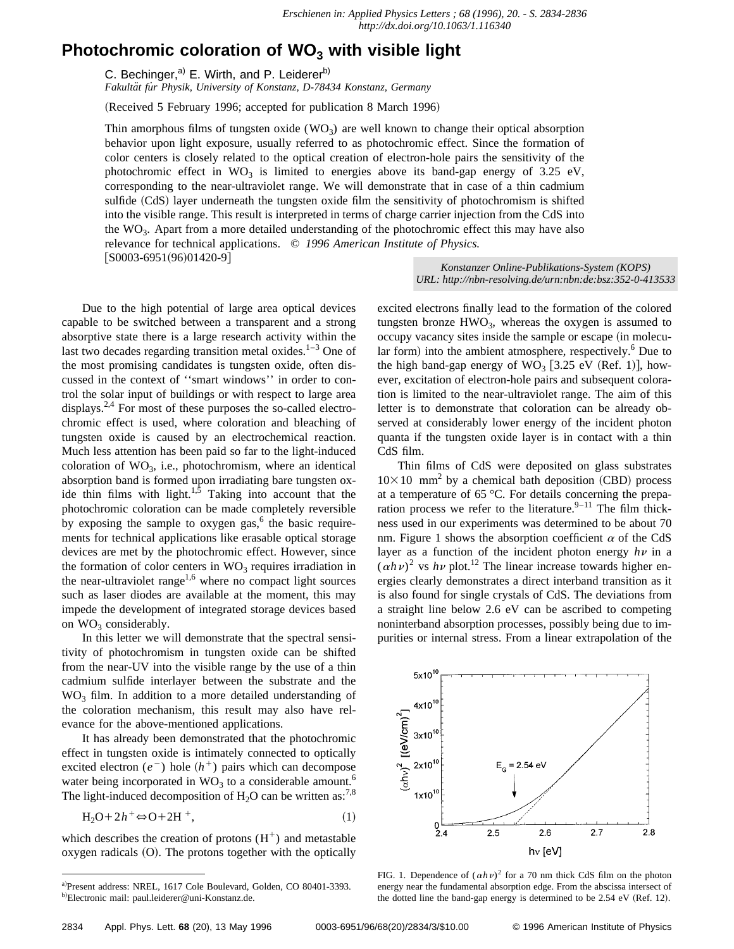## **Photochromic coloration of WO<sub>3</sub> with visible light**

C. Bechinger, $a$ <sup>)</sup> E. Wirth, and P. Leiderer<sup>b)</sup>

*Fakulta¨t fu˙r Physik, University of Konstanz, D-78434 Konstanz, Germany*

(Received 5 February 1996; accepted for publication 8 March 1996)

Thin amorphous films of tungsten oxide  $(WO_3)$  are well known to change their optical absorption behavior upon light exposure, usually referred to as photochromic effect. Since the formation of color centers is closely related to the optical creation of electron-hole pairs the sensitivity of the photochromic effect in  $WO_3$  is limited to energies above its band-gap energy of 3.25 eV, corresponding to the near-ultraviolet range. We will demonstrate that in case of a thin cadmium sulfide (CdS) layer underneath the tungsten oxide film the sensitivity of photochromism is shifted into the visible range. This result is interpreted in terms of charge carrier injection from the CdS into the WO3. Apart from a more detailed understanding of the photochromic effect this may have also relevance for technical applications. © *1996 American Institute of Physics.*

 $[$ S0003-6951(96)01420-9]

Due to the high potential of large area optical devices capable to be switched between a transparent and a strong absorptive state there is a large research activity within the last two decades regarding transition metal oxides. $1-3$  One of the most promising candidates is tungsten oxide, often discussed in the context of ''smart windows'' in order to control the solar input of buildings or with respect to large area displays.<sup>2,4</sup> For most of these purposes the so-called electrochromic effect is used, where coloration and bleaching of tungsten oxide is caused by an electrochemical reaction. Much less attention has been paid so far to the light-induced coloration of  $WO_3$ , i.e., photochromism, where an identical absorption band is formed upon irradiating bare tungsten oxide thin films with light.<sup>1,5</sup> Taking into account that the photochromic coloration can be made completely reversible by exposing the sample to oxygen gas, $<sup>6</sup>$  the basic require-</sup> ments for technical applications like erasable optical storage devices are met by the photochromic effect. However, since the formation of color centers in  $WO_3$  requires irradiation in the near-ultraviolet range<sup>1,6</sup> where no compact light sources such as laser diodes are available at the moment, this may impede the development of integrated storage devices based on  $WO_3$  considerably. Express the basis applies the procedure of large area optical devices contents with the contents of colores applications contents and strengthen institute of the contents and strengthen institute of the contents of the co

In this letter we will demonstrate that the spectral sensitivity of photochromism in tungsten oxide can be shifted from the near-UV into the visible range by the use of a thin cadmium sulfide interlayer between the substrate and the  $WO<sub>3</sub>$  film. In addition to a more detailed understanding of the coloration mechanism, this result may also have relevance for the above-mentioned applications.

It has already been demonstrated that the photochromic effect in tungsten oxide is intimately connected to optically excited electron  $(e^{-})$  hole  $(h^{+})$  pairs which can decompose water being incorporated in  $WO_3$  to a considerable amount.<sup>6</sup> The light-induced decomposition of  $H_2O$  can be written as:<sup>7,8</sup>

$$
H_2O + 2h^+ \Leftrightarrow O + 2H^+, \tag{1}
$$

which describes the creation of protons  $(H^+)$  and metastable  $oxygen$  radicals  $(O)$ . The protons together with the optically *U[RL: http://nbn-resolving.de/urn:nbn:de:bsz:352-0-413533](http://nbn-resolving.de/urn:nbn:de:bsz:352-0-413533)*

excited electrons finally lead to the formation of the colored tungsten bronze  $HWO<sub>3</sub>$ , whereas the oxygen is assumed to occupy vacancy sites inside the sample or escape (in molecular form) into the ambient atmosphere, respectively. $6$  Due to the high band-gap energy of  $WO_3$  [3.25 eV (Ref. 1)], however, excitation of electron-hole pairs and subsequent coloration is limited to the near-ultraviolet range. The aim of this letter is to demonstrate that coloration can be already observed at considerably lower energy of the incident photon quanta if the tungsten oxide layer is in contact with a thin CdS film.

Thin films of CdS were deposited on glass substrates  $10\times10$  mm<sup>2</sup> by a chemical bath deposition (CBD) process at a temperature of 65 °C. For details concerning the preparation process we refer to the literature. $9-11$  The film thickness used in our experiments was determined to be about 70 nm. Figure 1 shows the absorption coefficient  $\alpha$  of the CdS layer as a function of the incident photon energy  $h\nu$  in a  $(\alpha h \nu)^2$  vs  $h \nu$  plot.<sup>12</sup> The linear increase towards higher energies clearly demonstrates a direct interband transition as it is also found for single crystals of CdS. The deviations from a straight line below 2.6 eV can be ascribed to competing noninterband absorption processes, possibly being due to impurities or internal stress. From a linear extrapolation of the



FIG. 1. Dependence of  $(\alpha h \nu)^2$  for a 70 nm thick CdS film on the photon energy near the fundamental absorption edge. From the abscissa intersect of the dotted line the band-gap energy is determined to be  $2.54$  eV (Ref. 12).

a)Present address: NREL, 1617 Cole Boulevard, Golden, CO 80401-3393. <sup>b)</sup>Electronic mail: paul.leiderer@uni-Konstanz.de.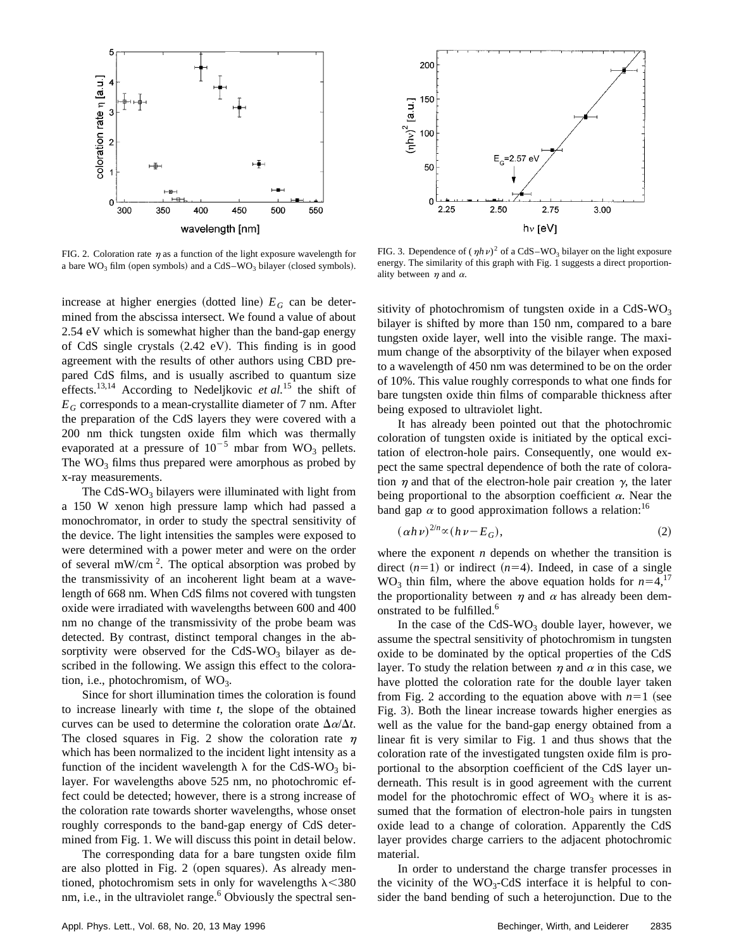

FIG. 2. Coloration rate  $\eta$  as a function of the light exposure wavelength for a bare  $WO_3$  film (open symbols) and a  $CdS-WO_3$  bilayer (closed symbols).

increase at higher energies (dotted line)  $E_G$  can be determined from the abscissa intersect. We found a value of about 2.54 eV which is somewhat higher than the band-gap energy of CdS single crystals  $(2.42 \text{ eV})$ . This finding is in good agreement with the results of other authors using CBD prepared CdS films, and is usually ascribed to quantum size effects.<sup>13,14</sup> According to Nedeljkovic *et al.*<sup>15</sup> the shift of *EG* corresponds to a mean-crystallite diameter of 7 nm. After the preparation of the CdS layers they were covered with a 200 nm thick tungsten oxide film which was thermally evaporated at a pressure of  $10^{-5}$  mbar from WO<sub>3</sub> pellets. The  $WO_3$  films thus prepared were amorphous as probed by x-ray measurements.

The CdS-WO<sub>3</sub> bilayers were illuminated with light from a 150 W xenon high pressure lamp which had passed a monochromator, in order to study the spectral sensitivity of the device. The light intensities the samples were exposed to were determined with a power meter and were on the order of several mW/cm<sup>2</sup>. The optical absorption was probed by the transmissivity of an incoherent light beam at a wavelength of 668 nm. When CdS films not covered with tungsten oxide were irradiated with wavelengths between 600 and 400 nm no change of the transmissivity of the probe beam was detected. By contrast, distinct temporal changes in the absorptivity were observed for the CdS-WO<sub>3</sub> bilayer as described in the following. We assign this effect to the coloration, i.e., photochromism, of  $WO_3$ .

Since for short illumination times the coloration is found to increase linearly with time *t*, the slope of the obtained curves can be used to determine the coloration orate  $\Delta \alpha / \Delta t$ . The closed squares in Fig. 2 show the coloration rate  $\eta$ which has been normalized to the incident light intensity as a function of the incident wavelength  $\lambda$  for the CdS-WO<sub>3</sub> bilayer. For wavelengths above 525 nm, no photochromic effect could be detected; however, there is a strong increase of the coloration rate towards shorter wavelengths, whose onset roughly corresponds to the band-gap energy of CdS determined from Fig. 1. We will discuss this point in detail below.

The corresponding data for a bare tungsten oxide film are also plotted in Fig. 2 (open squares). As already mentioned, photochromism sets in only for wavelengths  $\lambda$ <380 nm, i.e., in the ultraviolet range.<sup>6</sup> Obviously the spectral sen-



FIG. 3. Dependence of  $(\eta h \nu)^2$  of a CdS–WO<sub>3</sub> bilayer on the light exposure energy. The similarity of this graph with Fig. 1 suggests a direct proportionality between  $\eta$  and  $\alpha$ .

sitivity of photochromism of tungsten oxide in a  $CdS-WO<sub>3</sub>$ bilayer is shifted by more than 150 nm, compared to a bare tungsten oxide layer, well into the visible range. The maximum change of the absorptivity of the bilayer when exposed to a wavelength of 450 nm was determined to be on the order of 10%. This value roughly corresponds to what one finds for bare tungsten oxide thin films of comparable thickness after being exposed to ultraviolet light.

It has already been pointed out that the photochromic coloration of tungsten oxide is initiated by the optical excitation of electron-hole pairs. Consequently, one would expect the same spectral dependence of both the rate of coloration  $\eta$  and that of the electron-hole pair creation  $\gamma$ , the later being proportional to the absorption coefficient  $\alpha$ . Near the band gap  $\alpha$  to good approximation follows a relation:<sup>16</sup>

$$
(\alpha h \nu)^{2/n} \propto (h \nu - E_G),\tag{2}
$$

where the exponent *n* depends on whether the transition is direct  $(n=1)$  or indirect  $(n=4)$ . Indeed, in case of a single WO<sub>3</sub> thin film, where the above equation holds for  $n=4$ ,<sup>17</sup> the proportionality between  $\eta$  and  $\alpha$  has already been demonstrated to be fulfilled.<sup>6</sup>

In the case of the CdS-WO<sub>3</sub> double layer, however, we assume the spectral sensitivity of photochromism in tungsten oxide to be dominated by the optical properties of the CdS layer. To study the relation between  $\eta$  and  $\alpha$  in this case, we have plotted the coloration rate for the double layer taken from Fig. 2 according to the equation above with  $n=1$  (see Fig. 3). Both the linear increase towards higher energies as well as the value for the band-gap energy obtained from a linear fit is very similar to Fig. 1 and thus shows that the coloration rate of the investigated tungsten oxide film is proportional to the absorption coefficient of the CdS layer underneath. This result is in good agreement with the current model for the photochromic effect of  $WO_3$  where it is assumed that the formation of electron-hole pairs in tungsten oxide lead to a change of coloration. Apparently the CdS layer provides charge carriers to the adjacent photochromic material.

In order to understand the charge transfer processes in the vicinity of the  $WO_3$ -CdS interface it is helpful to consider the band bending of such a heterojunction. Due to the